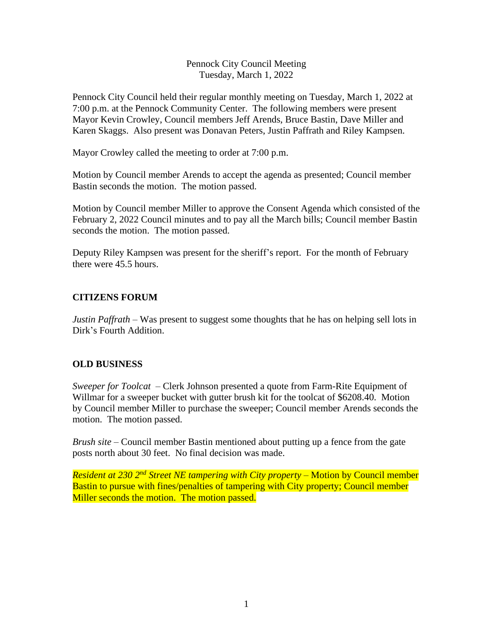### Pennock City Council Meeting Tuesday, March 1, 2022

Pennock City Council held their regular monthly meeting on Tuesday, March 1, 2022 at 7:00 p.m. at the Pennock Community Center. The following members were present Mayor Kevin Crowley, Council members Jeff Arends, Bruce Bastin, Dave Miller and Karen Skaggs. Also present was Donavan Peters, Justin Paffrath and Riley Kampsen.

Mayor Crowley called the meeting to order at 7:00 p.m.

Motion by Council member Arends to accept the agenda as presented; Council member Bastin seconds the motion. The motion passed.

Motion by Council member Miller to approve the Consent Agenda which consisted of the February 2, 2022 Council minutes and to pay all the March bills; Council member Bastin seconds the motion. The motion passed.

Deputy Riley Kampsen was present for the sheriff's report. For the month of February there were 45.5 hours.

### **CITIZENS FORUM**

*Justin Paffrath* – Was present to suggest some thoughts that he has on helping sell lots in Dirk's Fourth Addition.

#### **OLD BUSINESS**

*Sweeper for Toolcat –* Clerk Johnson presented a quote from Farm-Rite Equipment of Willmar for a sweeper bucket with gutter brush kit for the toolcat of \$6208.40. Motion by Council member Miller to purchase the sweeper; Council member Arends seconds the motion. The motion passed.

*Brush site* – Council member Bastin mentioned about putting up a fence from the gate posts north about 30 feet. No final decision was made.

*Resident at 230 2nd Street NE tampering with City property –* Motion by Council member Bastin to pursue with fines/penalties of tampering with City property; Council member Miller seconds the motion. The motion passed.